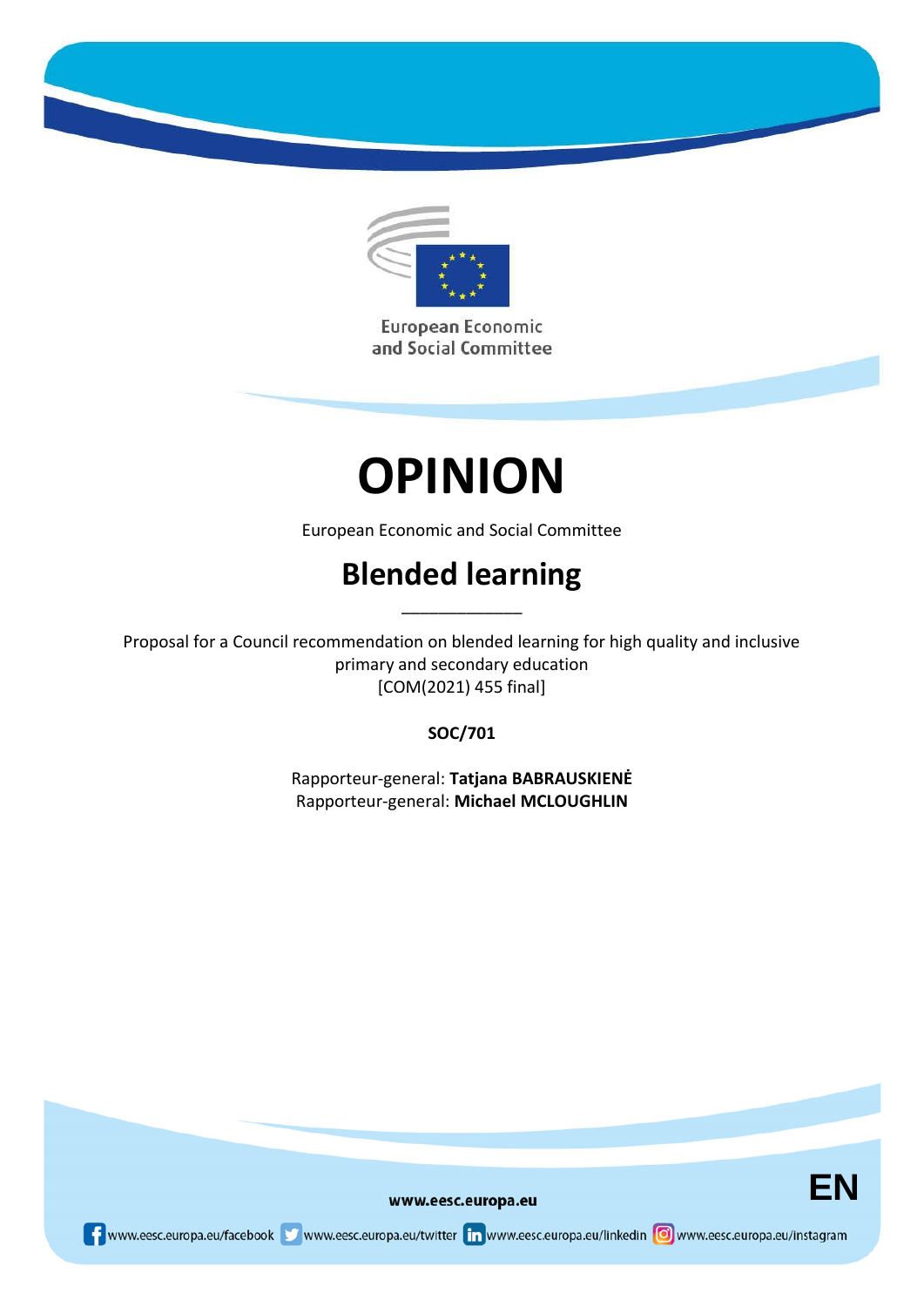

European Economic and Social Committee

# **OPINION**

European Economic and Social Committee

## **Blended learning**

\_\_\_\_\_\_\_\_\_\_\_\_\_

Proposal for a Council recommendation on blended learning for high quality and inclusive primary and secondary education [COM(2021) 455 final]

### **SOC/701**

Rapporteur-general: **Tatjana BABRAUSKIENĖ** Rapporteur-general: **Michael MCLOUGHLIN**



www.eesc.europa.eu

www.eesc.europa.eu/facebook www.eesc.europa.eu/twitter in www.eesc.europa.eu/linkedin oww.eesc.europa.eu/instagram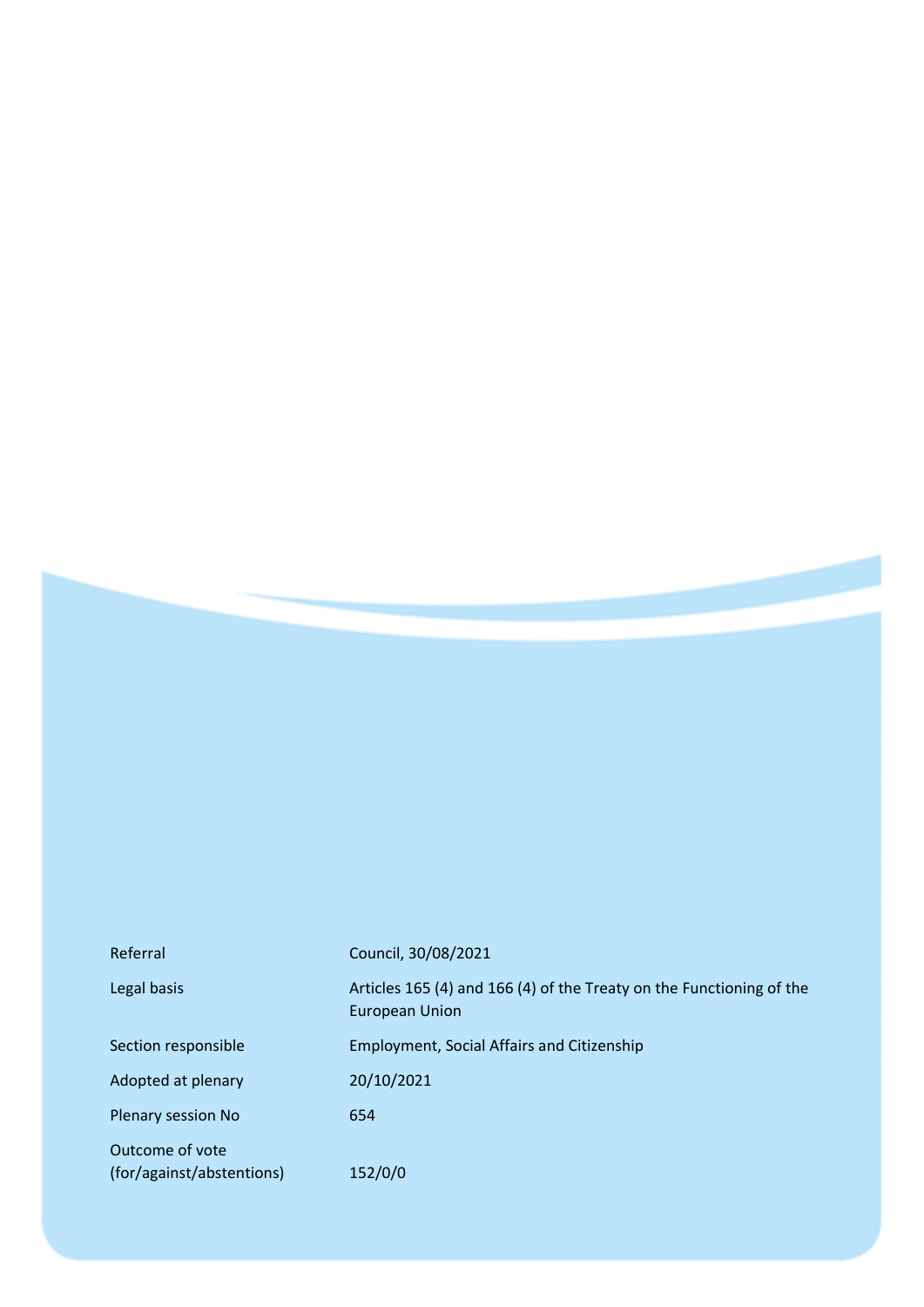| Referral                                     | Council, 30/08/2021                                                                           |
|----------------------------------------------|-----------------------------------------------------------------------------------------------|
| Legal basis                                  | Articles 165 (4) and 166 (4) of the Treaty on the Functioning of the<br><b>European Union</b> |
| Section responsible                          | <b>Employment, Social Affairs and Citizenship</b>                                             |
| Adopted at plenary                           | 20/10/2021                                                                                    |
| Plenary session No                           | 654                                                                                           |
| Outcome of vote<br>(for/against/abstentions) | 152/0/0                                                                                       |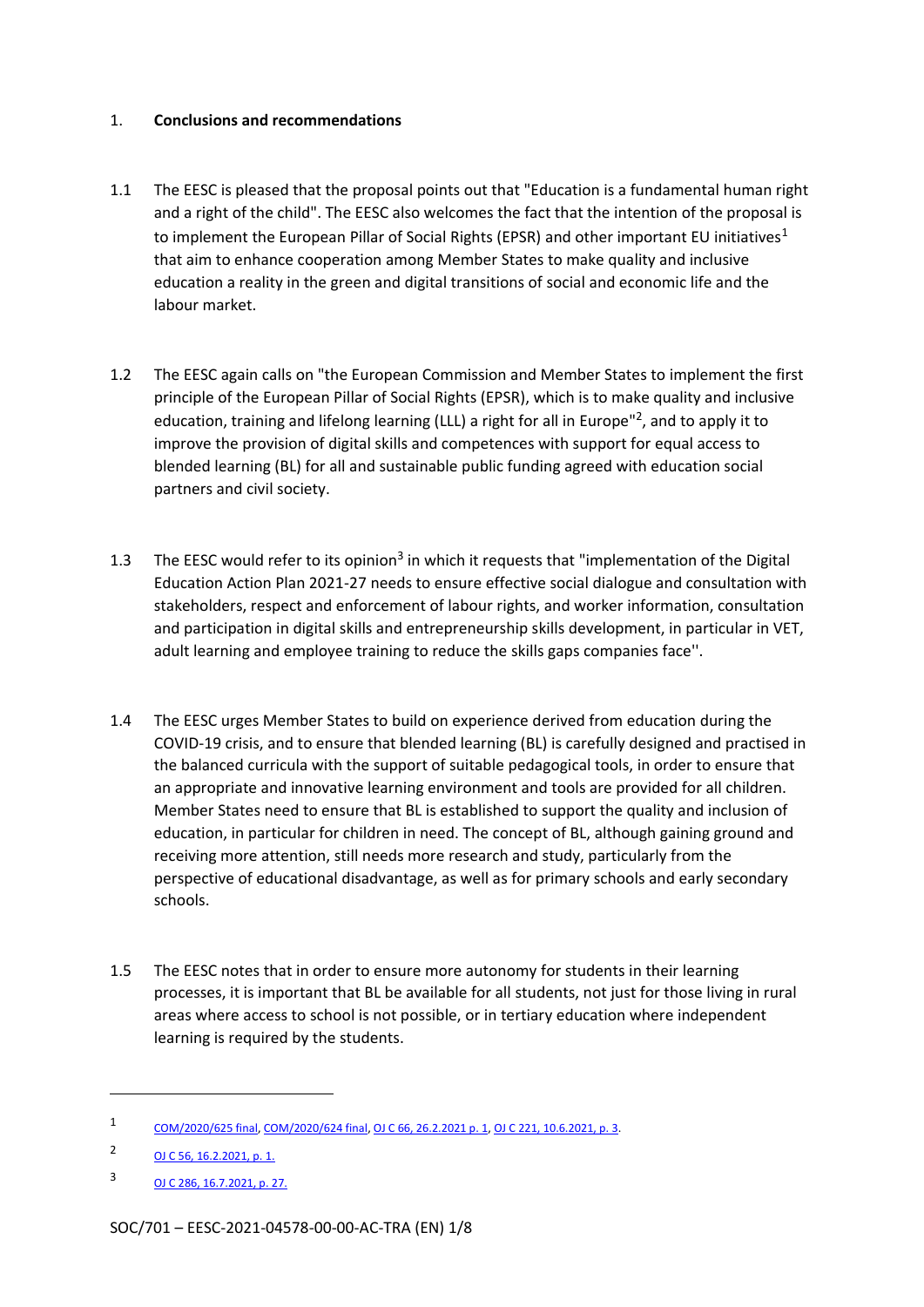#### 1. **Conclusions and recommendations**

- 1.1 The EESC is pleased that the proposal points out that "Education is a fundamental human right and a right of the child". The EESC also welcomes the fact that the intention of the proposal is to implement the European Pillar of Social Rights (EPSR) and other important EU initiatives<sup>1</sup> that aim to enhance cooperation among Member States to make quality and inclusive education a reality in the green and digital transitions of social and economic life and the labour market.
- 1.2 The EESC again calls on "the European Commission and Member States to implement the first principle of the European Pillar of Social Rights (EPSR), which is to make quality and inclusive education, training and lifelong learning (LLL) a right for all in Europe"<sup>2</sup>, and to apply it to improve the provision of digital skills and competences with support for equal access to blended learning (BL) for all and sustainable public funding agreed with education social partners and civil society.
- 1.3 The EESC would refer to its opinion<sup>3</sup> in which it requests that "implementation of the Digital Education Action Plan 2021-27 needs to ensure effective social dialogue and consultation with stakeholders, respect and enforcement of labour rights, and worker information, consultation and participation in digital skills and entrepreneurship skills development, in particular in VET, adult learning and employee training to reduce the skills gaps companies face''.
- 1.4 The EESC urges Member States to build on experience derived from education during the COVID-19 crisis, and to ensure that blended learning (BL) is carefully designed and practised in the balanced curricula with the support of suitable pedagogical tools, in order to ensure that an appropriate and innovative learning environment and tools are provided for all children. Member States need to ensure that BL is established to support the quality and inclusion of education, in particular for children in need. The concept of BL, although gaining ground and receiving more attention, still needs more research and study, particularly from the perspective of educational disadvantage, as well as for primary schools and early secondary schools.
- 1.5 The EESC notes that in order to ensure more autonomy for students in their learning processes, it is important that BL be available for all students, not just for those living in rural areas where access to school is not possible, or in tertiary education where independent learning is required by the students.

<sup>1</sup> COM/2020/625 final, COM/2020/624 final, OJ C 66, 26.2.2021 p. 1, OJ C 221, 10.6.2021, p. 3.

<sup>2</sup> OJ C 56, 16.2.2021, p. 1.

<sup>3</sup> OJ C 286, 16.7.2021, p. 27.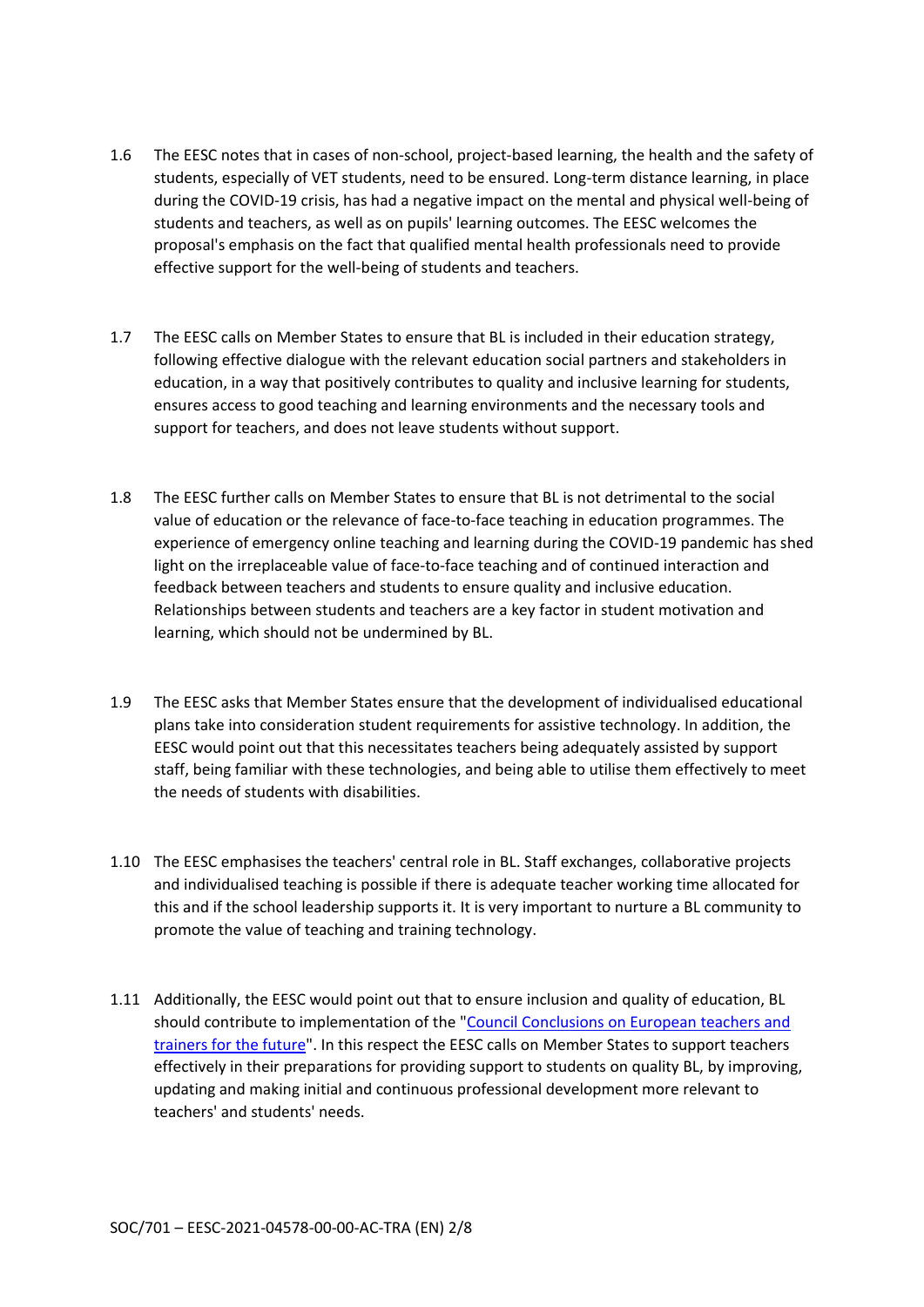- 1.6 The EESC notes that in cases of non-school, project-based learning, the health and the safety of students, especially of VET students, need to be ensured. Long-term distance learning, in place during the COVID-19 crisis, has had a negative impact on the mental and physical well-being of students and teachers, as well as on pupils' learning outcomes. The EESC welcomes the proposal's emphasis on the fact that qualified mental health professionals need to provide effective support for the well-being of students and teachers.
- 1.7 The EESC calls on Member States to ensure that BL is included in their education strategy, following effective dialogue with the relevant education social partners and stakeholders in education, in a way that positively contributes to quality and inclusive learning for students, ensures access to good teaching and learning environments and the necessary tools and support for teachers, and does not leave students without support.
- 1.8 The EESC further calls on Member States to ensure that BL is not detrimental to the social value of education or the relevance of face-to-face teaching in education programmes. The experience of emergency online teaching and learning during the COVID-19 pandemic has shed light on the irreplaceable value of face-to-face teaching and of continued interaction and feedback between teachers and students to ensure quality and inclusive education. Relationships between students and teachers are a key factor in student motivation and learning, which should not be undermined by BL.
- 1.9 The EESC asks that Member States ensure that the development of individualised educational plans take into consideration student requirements for assistive technology. In addition, the EESC would point out that this necessitates teachers being adequately assisted by support staff, being familiar with these technologies, and being able to utilise them effectively to meet the needs of students with disabilities.
- 1.10 The EESC emphasises the teachers' central role in BL. Staff exchanges, collaborative projects and individualised teaching is possible if there is adequate teacher working time allocated for this and if the school leadership supports it. It is very important to nurture a BL community to promote the value of teaching and training technology.
- 1.11 Additionally, the EESC would point out that to ensure inclusion and quality of education, BL should contribute to implementation of the "Council Conclusions on European teachers and trainers for the future". In this respect the EESC calls on Member States to support teachers effectively in their preparations for providing support to students on quality BL, by improving, updating and making initial and continuous professional development more relevant to teachers' and students' needs.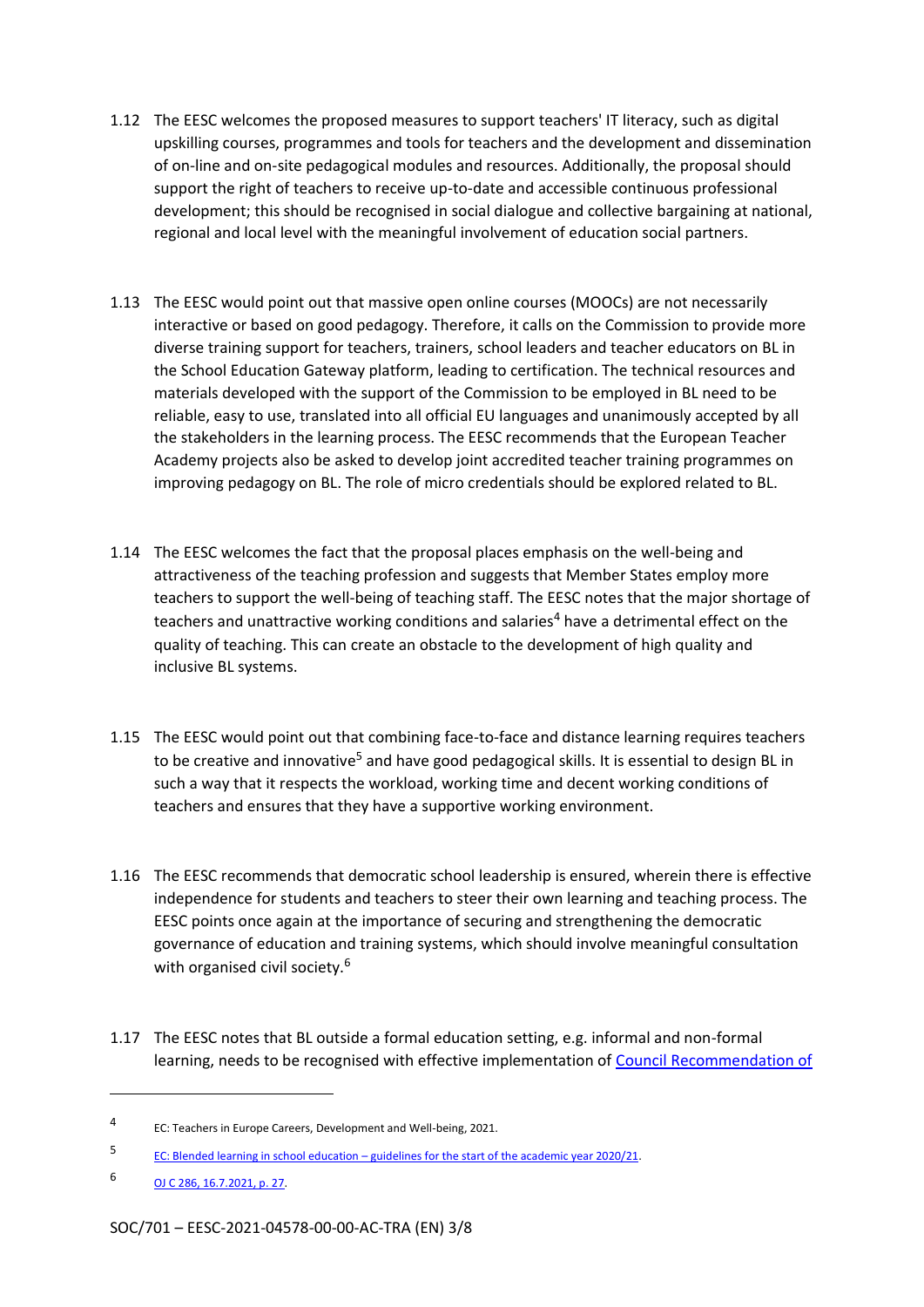- 1.12 The EESC welcomes the proposed measures to support teachers' IT literacy, such as digital upskilling courses, programmes and tools for teachers and the development and dissemination of on-line and on-site pedagogical modules and resources. Additionally, the proposal should support the right of teachers to receive up-to-date and accessible continuous professional development; this should be recognised in social dialogue and collective bargaining at national, regional and local level with the meaningful involvement of education social partners.
- 1.13 The EESC would point out that massive open online courses (MOOCs) are not necessarily interactive or based on good pedagogy. Therefore, it calls on the Commission to provide more diverse training support for teachers, trainers, school leaders and teacher educators on BL in the School Education Gateway platform, leading to certification. The technical resources and materials developed with the support of the Commission to be employed in BL need to be reliable, easy to use, translated into all official EU languages and unanimously accepted by all the stakeholders in the learning process. The EESC recommends that the European Teacher Academy projects also be asked to develop joint accredited teacher training programmes on improving pedagogy on BL. The role of micro credentials should be explored related to BL.
- 1.14 The EESC welcomes the fact that the proposal places emphasis on the well-being and attractiveness of the teaching profession and suggests that Member States employ more teachers to support the well-being of teaching staff. The EESC notes that the major shortage of teachers and unattractive working conditions and salaries<sup>4</sup> have a detrimental effect on the quality of teaching. This can create an obstacle to the development of high quality and inclusive BL systems.
- 1.15 The EESC would point out that combining face-to-face and distance learning requires teachers to be creative and innovative<sup>5</sup> and have good pedagogical skills. It is essential to design BL in such a way that it respects the workload, working time and decent working conditions of teachers and ensures that they have a supportive working environment.
- 1.16 The EESC recommends that democratic school leadership is ensured, wherein there is effective independence for students and teachers to steer their own learning and teaching process. The EESC points once again at the importance of securing and strengthening the democratic governance of education and training systems, which should involve meaningful consultation with organised civil society.<sup>6</sup>
- 1.17 The EESC notes that BL outside a formal education setting, e.g. informal and non-formal learning, needs to be recognised with effective implementation of Council Recommendation of

<sup>4</sup> EC: Teachers in Europe Careers, Development and Well-being, 2021.

<sup>5</sup> EC: Blended learning in school education – guidelines for the start of the academic year 2020/21.

<sup>6</sup> OJ C 286, 16.7.2021, p. 27.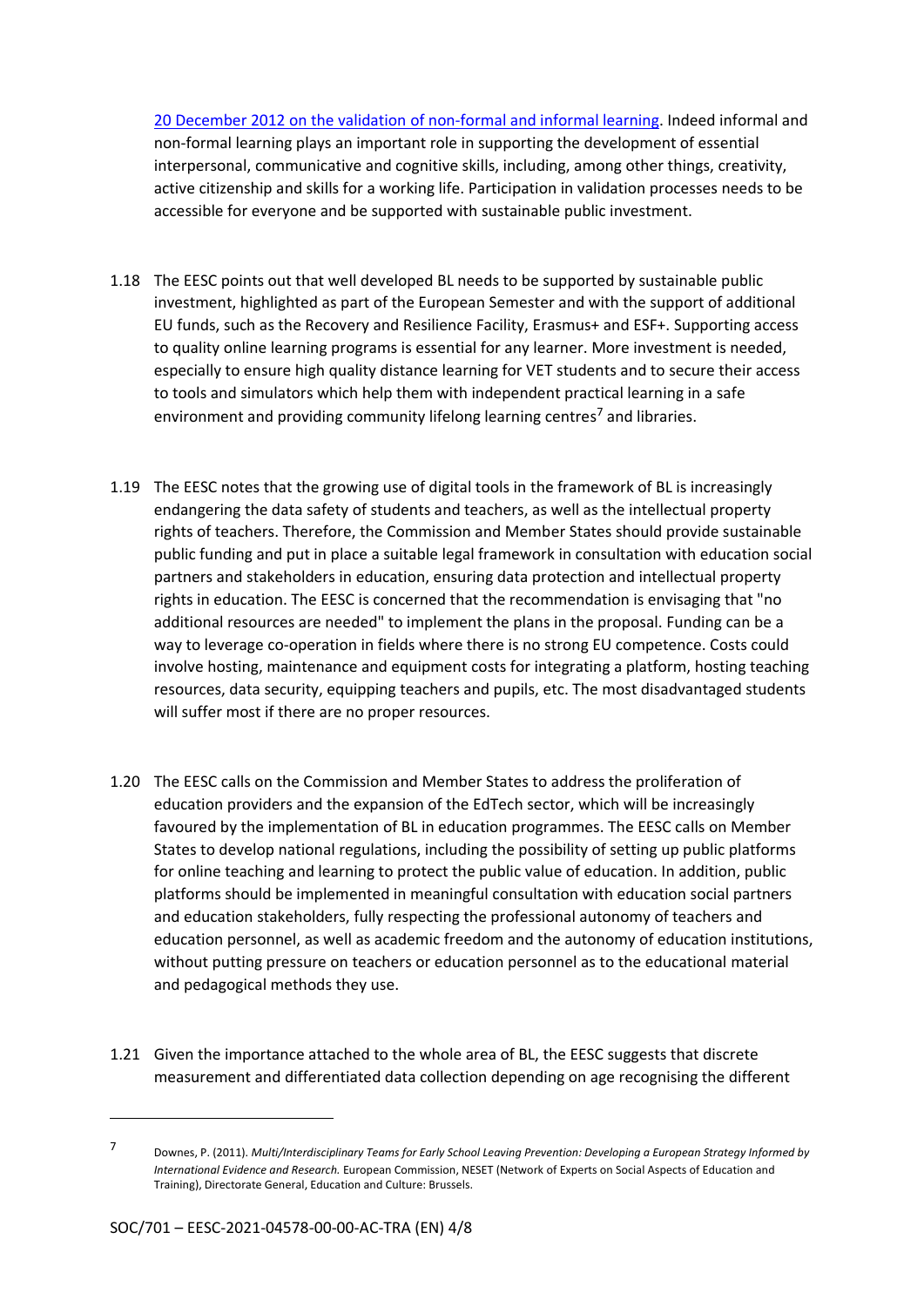20 December 2012 on the validation of non-formal and informal learning. Indeed informal and non-formal learning plays an important role in supporting the development of essential interpersonal, communicative and cognitive skills, including, among other things, creativity, active citizenship and skills for a working life. Participation in validation processes needs to be accessible for everyone and be supported with sustainable public investment.

- 1.18 The EESC points out that well developed BL needs to be supported by sustainable public investment, highlighted as part of the European Semester and with the support of additional EU funds, such as the Recovery and Resilience Facility, Erasmus+ and ESF+. Supporting access to quality online learning programs is essential for any learner. More investment is needed, especially to ensure high quality distance learning for VET students and to secure their access to tools and simulators which help them with independent practical learning in a safe environment and providing community lifelong learning centres<sup>7</sup> and libraries.
- 1.19 The EESC notes that the growing use of digital tools in the framework of BL is increasingly endangering the data safety of students and teachers, as well as the intellectual property rights of teachers. Therefore, the Commission and Member States should provide sustainable public funding and put in place a suitable legal framework in consultation with education social partners and stakeholders in education, ensuring data protection and intellectual property rights in education. The EESC is concerned that the recommendation is envisaging that "no additional resources are needed" to implement the plans in the proposal. Funding can be a way to leverage co-operation in fields where there is no strong EU competence. Costs could involve hosting, maintenance and equipment costs for integrating a platform, hosting teaching resources, data security, equipping teachers and pupils, etc. The most disadvantaged students will suffer most if there are no proper resources.
- 1.20 The EESC calls on the Commission and Member States to address the proliferation of education providers and the expansion of the EdTech sector, which will be increasingly favoured by the implementation of BL in education programmes. The EESC calls on Member States to develop national regulations, including the possibility of setting up public platforms for online teaching and learning to protect the public value of education. In addition, public platforms should be implemented in meaningful consultation with education social partners and education stakeholders, fully respecting the professional autonomy of teachers and education personnel, as well as academic freedom and the autonomy of education institutions, without putting pressure on teachers or education personnel as to the educational material and pedagogical methods they use.
- 1.21 Given the importance attached to the whole area of BL, the EESC suggests that discrete measurement and differentiated data collection depending on age recognising the different

<sup>7</sup> Downes, P. (2011). *Multi/Interdisciplinary Teams for Early School Leaving Prevention: Developing a European Strategy Informed by International Evidence and Research.* European Commission, NESET (Network of Experts on Social Aspects of Education and Training), Directorate General, Education and Culture: Brussels.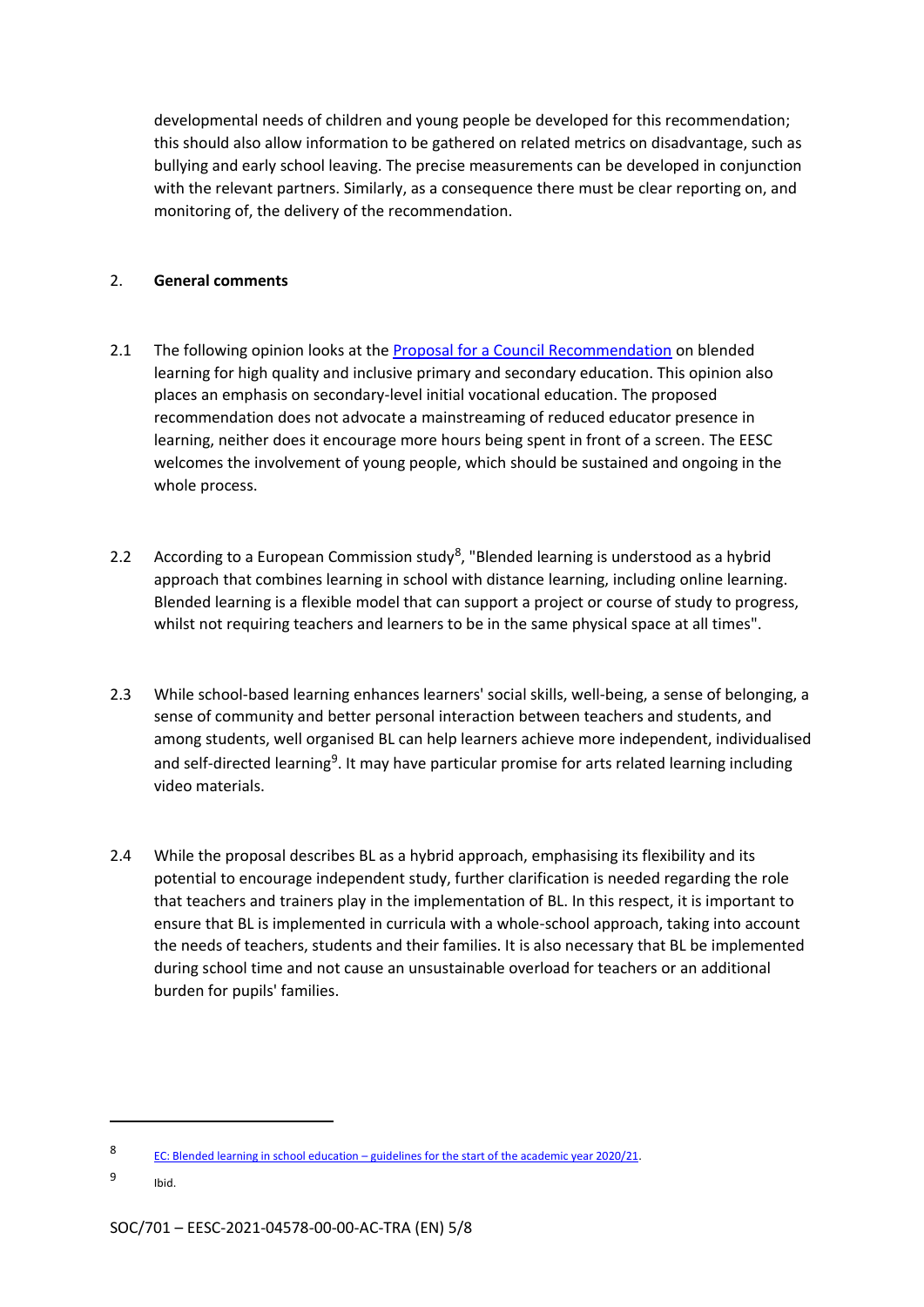developmental needs of children and young people be developed for this recommendation; this should also allow information to be gathered on related metrics on disadvantage, such as bullying and early school leaving. The precise measurements can be developed in conjunction with the relevant partners. Similarly, as a consequence there must be clear reporting on, and monitoring of, the delivery of the recommendation.

#### 2. **General comments**

- 2.1 The following opinion looks at the Proposal for a Council Recommendation on blended learning for high quality and inclusive primary and secondary education. This opinion also places an emphasis on secondary-level initial vocational education. The proposed recommendation does not advocate a mainstreaming of reduced educator presence in learning, neither does it encourage more hours being spent in front of a screen. The EESC welcomes the involvement of young people, which should be sustained and ongoing in the whole process.
- 2.2 According to a European Commission study<sup>8</sup>, "Blended learning is understood as a hybrid approach that combines learning in school with distance learning, including online learning. Blended learning is a flexible model that can support a project or course of study to progress, whilst not requiring teachers and learners to be in the same physical space at all times".
- 2.3 While school-based learning enhances learners' social skills, well-being, a sense of belonging, a sense of community and better personal interaction between teachers and students, and among students, well organised BL can help learners achieve more independent, individualised and self-directed learning<sup>9</sup>. It may have particular promise for arts related learning including video materials.
- 2.4 While the proposal describes BL as a hybrid approach, emphasising its flexibility and its potential to encourage independent study, further clarification is needed regarding the role that teachers and trainers play in the implementation of BL. In this respect, it is important to ensure that BL is implemented in curricula with a whole-school approach, taking into account the needs of teachers, students and their families. It is also necessary that BL be implemented during school time and not cause an unsustainable overload for teachers or an additional burden for pupils' families.

<sup>8</sup> EC: Blended learning in school education – guidelines for the start of the academic year 2020/21.

<sup>9</sup> Ibid.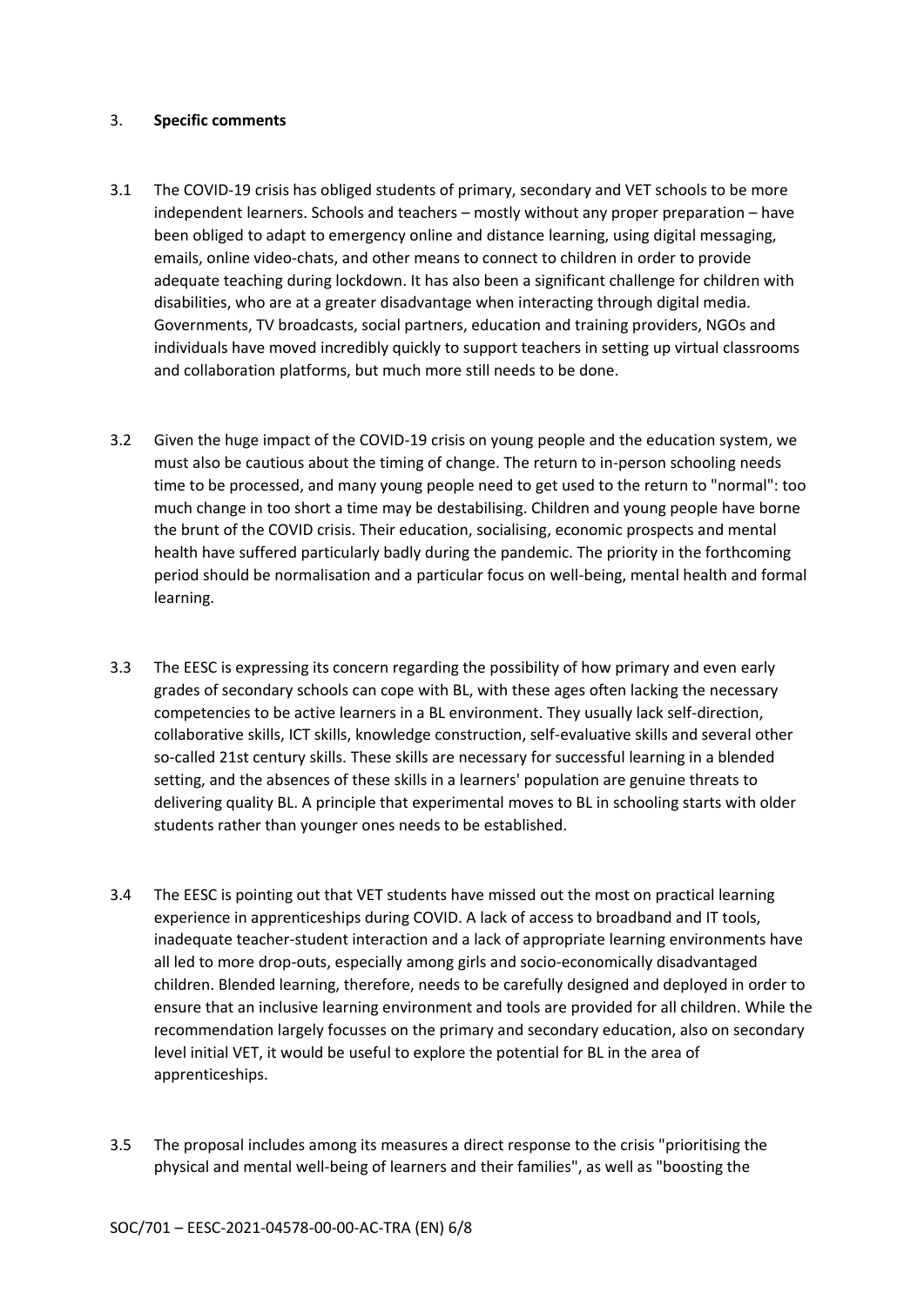#### 3. **Specific comments**

- 3.1 The COVID-19 crisis has obliged students of primary, secondary and VET schools to be more independent learners. Schools and teachers – mostly without any proper preparation – have been obliged to adapt to emergency online and distance learning, using digital messaging, emails, online video-chats, and other means to connect to children in order to provide adequate teaching during lockdown. It has also been a significant challenge for children with disabilities, who are at a greater disadvantage when interacting through digital media. Governments, TV broadcasts, social partners, education and training providers, NGOs and individuals have moved incredibly quickly to support teachers in setting up virtual classrooms and collaboration platforms, but much more still needs to be done.
- 3.2 Given the huge impact of the COVID-19 crisis on young people and the education system, we must also be cautious about the timing of change. The return to in-person schooling needs time to be processed, and many young people need to get used to the return to "normal": too much change in too short a time may be destabilising. Children and young people have borne the brunt of the COVID crisis. Their education, socialising, economic prospects and mental health have suffered particularly badly during the pandemic. The priority in the forthcoming period should be normalisation and a particular focus on well-being, mental health and formal learning.
- 3.3 The EESC is expressing its concern regarding the possibility of how primary and even early grades of secondary schools can cope with BL, with these ages often lacking the necessary competencies to be active learners in a BL environment. They usually lack self-direction, collaborative skills, ICT skills, knowledge construction, self-evaluative skills and several other so-called 21st century skills. These skills are necessary for successful learning in a blended setting, and the absences of these skills in a learners' population are genuine threats to delivering quality BL. A principle that experimental moves to BL in schooling starts with older students rather than younger ones needs to be established.
- 3.4 The EESC is pointing out that VET students have missed out the most on practical learning experience in apprenticeships during COVID. A lack of access to broadband and IT tools, inadequate teacher-student interaction and a lack of appropriate learning environments have all led to more drop-outs, especially among girls and socio-economically disadvantaged children. Blended learning, therefore, needs to be carefully designed and deployed in order to ensure that an inclusive learning environment and tools are provided for all children. While the recommendation largely focusses on the primary and secondary education, also on secondary level initial VET, it would be useful to explore the potential for BL in the area of apprenticeships.
- 3.5 The proposal includes among its measures a direct response to the crisis "prioritising the physical and mental well-being of learners and their families", as well as "boosting the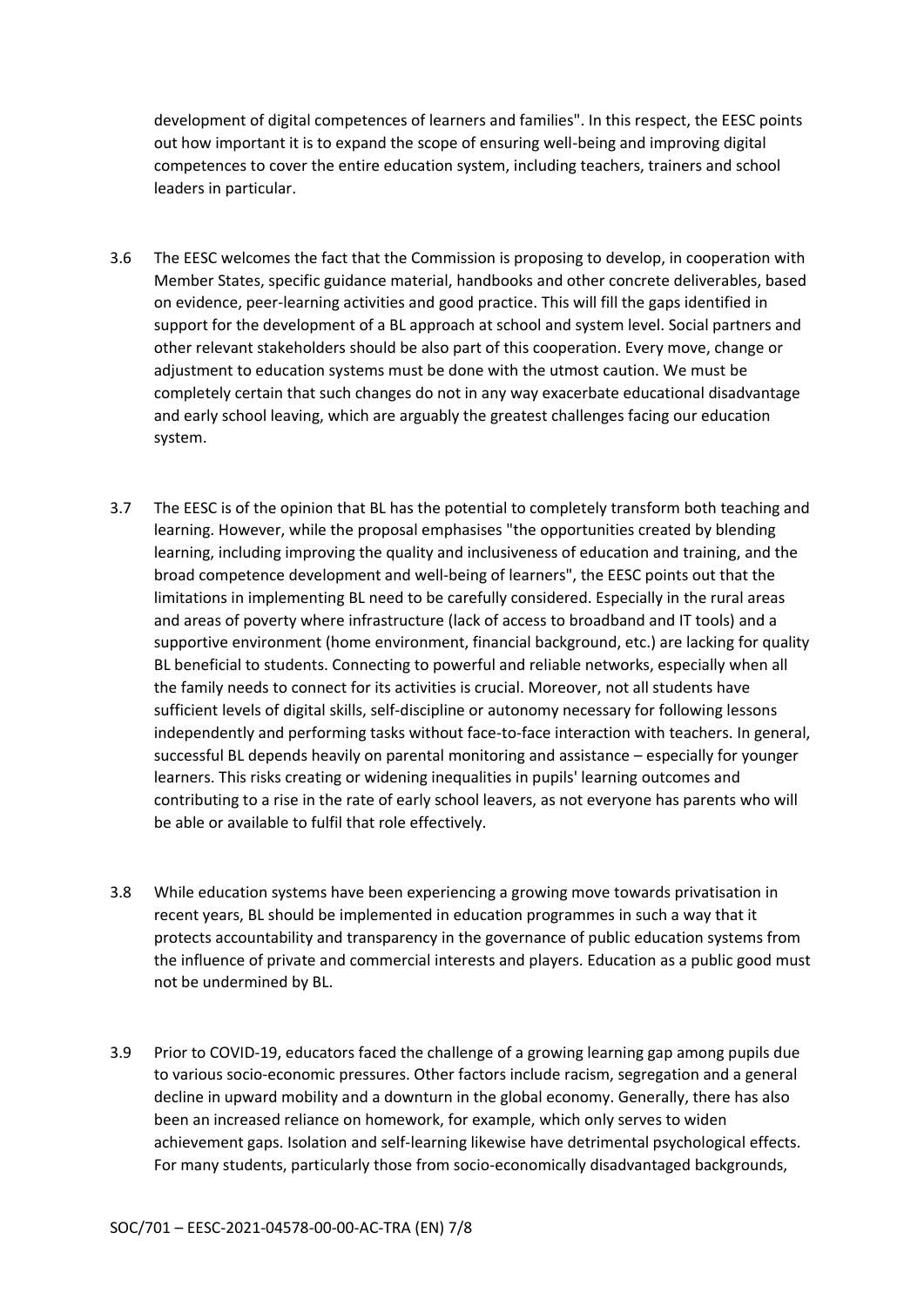development of digital competences of learners and families". In this respect, the EESC points out how important it is to expand the scope of ensuring well-being and improving digital competences to cover the entire education system, including teachers, trainers and school leaders in particular.

- 3.6 The EESC welcomes the fact that the Commission is proposing to develop, in cooperation with Member States, specific guidance material, handbooks and other concrete deliverables, based on evidence, peer-learning activities and good practice. This will fill the gaps identified in support for the development of a BL approach at school and system level. Social partners and other relevant stakeholders should be also part of this cooperation. Every move, change or adjustment to education systems must be done with the utmost caution. We must be completely certain that such changes do not in any way exacerbate educational disadvantage and early school leaving, which are arguably the greatest challenges facing our education system.
- 3.7 The EESC is of the opinion that BL has the potential to completely transform both teaching and learning. However, while the proposal emphasises "the opportunities created by blending learning, including improving the quality and inclusiveness of education and training, and the broad competence development and well-being of learners", the EESC points out that the limitations in implementing BL need to be carefully considered. Especially in the rural areas and areas of poverty where infrastructure (lack of access to broadband and IT tools) and a supportive environment (home environment, financial background, etc.) are lacking for quality BL beneficial to students. Connecting to powerful and reliable networks, especially when all the family needs to connect for its activities is crucial. Moreover, not all students have sufficient levels of digital skills, self-discipline or autonomy necessary for following lessons independently and performing tasks without face-to-face interaction with teachers. In general, successful BL depends heavily on parental monitoring and assistance – especially for younger learners. This risks creating or widening inequalities in pupils' learning outcomes and contributing to a rise in the rate of early school leavers, as not everyone has parents who will be able or available to fulfil that role effectively.
- 3.8 While education systems have been experiencing a growing move towards privatisation in recent years, BL should be implemented in education programmes in such a way that it protects accountability and transparency in the governance of public education systems from the influence of private and commercial interests and players. Education as a public good must not be undermined by BL.
- 3.9 Prior to COVID-19, educators faced the challenge of a growing learning gap among pupils due to various socio-economic pressures. Other factors include racism, segregation and a general decline in upward mobility and a downturn in the global economy. Generally, there has also been an increased reliance on homework, for example, which only serves to widen achievement gaps. Isolation and self-learning likewise have detrimental psychological effects. For many students, particularly those from socio-economically disadvantaged backgrounds,